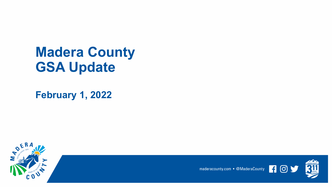## **Madera County GSA Update**

**February 1, 2022**



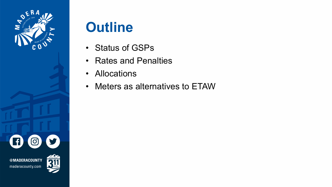

# **Outline**

- Status of GSPs
- Rates and Penalties
- Allocations
- Meters as alternatives to ETAW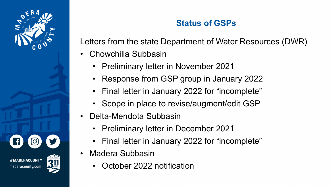

maderacounty.com

## **Status of GSPs**

Letters from the state Department of Water Resources (DWR)

- Chowchilla Subbasin
	- Preliminary letter in November 2021
	- Response from GSP group in January 2022
	- Final letter in January 2022 for "incomplete"
	- Scope in place to revise/augment/edit GSP
- Delta-Mendota Subbasin
	- Preliminary letter in December 2021
	- Final letter in January 2022 for "incomplete"
- Madera Subbasin
	- October 2022 notification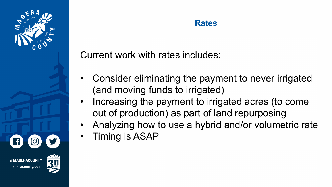

## **Rates**

Current work with rates includes:

- Consider eliminating the payment to never irrigated (and moving funds to irrigated)
- Increasing the payment to irrigated acres (to come out of production) as part of land repurposing
- Analyzing how to use a hybrid and/or volumetric rate
- Timing is ASAP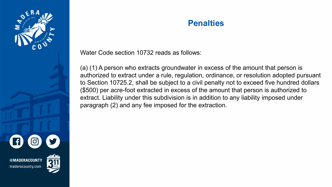

#### **Penalties**

Water Code section 10732 reads as follows:

(a) (1) A person who extracts groundwater in excess of the amount that person is authorized to extract under a rule, regulation, ordinance, or resolution adopted pursuant to Section 10725.2, shall be subject to a civil penalty not to exceed five hundred dollars (\$500) per acre-foot extracted in excess of the amount that person is authorized to extract. Liability under this subdivision is in addition to any liability imposed under paragraph (2) and any fee imposed for the extraction.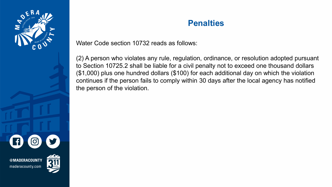

#### **Penalties**

Water Code section 10732 reads as follows:

(2) A person who violates any rule, regulation, ordinance, or resolution adopted pursuant to Section 10725.2 shall be liable for a civil penalty not to exceed one thousand dollars (\$1,000) plus one hundred dollars (\$100) for each additional day on which the violation continues if the person fails to comply within 30 days after the local agency has notified the person of the violation.



maderacounty.com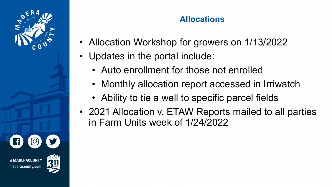

## **Allocations**

- Allocation Workshop for growers on 1/13/2022
- Updates in the portal include:
	- Auto enrollment for those not enrolled
	- Monthly allocation report accessed in Irriwatch
	- Ability to tie a well to specific parcel fields
- 2021 Allocation v. ETAW Reports mailed to all parties in Farm Units week of 1/24/2022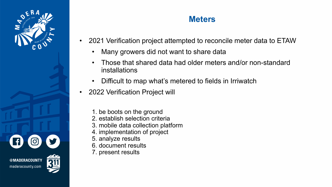

**IADERACOUNTY** maderacounty.com

## **Meters**

- 2021 Verification project attempted to reconcile meter data to ETAW
	- Many growers did not want to share data
	- Those that shared data had older meters and/or non-standard installations
	- Difficult to map what's metered to fields in Irriwatch
- 2022 Verification Project will
	- 1. be boots on the ground
	- 2. establish selection criteria
	- 3. mobile data collection platform
	- 4. implementation of project
	- 5. analyze results
	- 6. document results
	- 7. present results